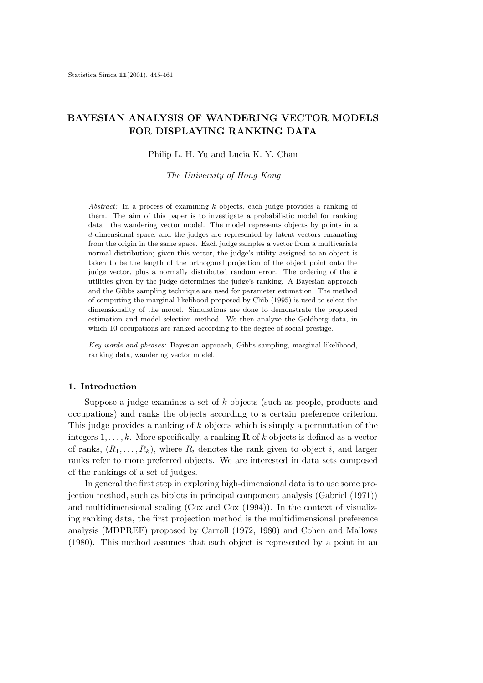# **BAYESIAN ANALYSIS OF WANDERING VECTOR MODELS FOR DISPLAYING RANKING DATA**

Philip L. H. Yu and Lucia K. Y. Chan

*The University of Hong Kong*

*Abstract:* In a process of examining *k* objects, each judge provides a ranking of them. The aim of this paper is to investigate a probabilistic model for ranking data—the wandering vector model. The model represents objects by points in a *d*-dimensional space, and the judges are represented by latent vectors emanating from the origin in the same space. Each judge samples a vector from a multivariate normal distribution; given this vector, the judge's utility assigned to an object is taken to be the length of the orthogonal projection of the object point onto the judge vector, plus a normally distributed random error. The ordering of the *k* utilities given by the judge determines the judge's ranking. A Bayesian approach and the Gibbs sampling technique are used for parameter estimation. The method of computing the marginal likelihood proposed by Chib (1995) is used to select the dimensionality of the model. Simulations are done to demonstrate the proposed estimation and model selection method. We then analyze the Goldberg data, in which 10 occupations are ranked according to the degree of social prestige.

*Key words and phrases:* Bayesian approach, Gibbs sampling, marginal likelihood, ranking data, wandering vector model.

# **1. Introduction**

Suppose a judge examines a set of k objects (such as people, products and occupations) and ranks the objects according to a certain preference criterion. This judge provides a ranking of k objects which is simply a permutation of the integers  $1, \ldots, k$ . More specifically, a ranking **R** of k objects is defined as a vector of ranks,  $(R_1, \ldots, R_k)$ , where  $R_i$  denotes the rank given to object i, and larger ranks refer to more preferred objects. We are interested in data sets composed of the rankings of a set of judges.

In general the first step in exploring high-dimensional data is to use some projection method, such as biplots in principal component analysis (Gabriel (1971)) and multidimensional scaling (Cox and Cox (1994)). In the context of visualizing ranking data, the first projection method is the multidimensional preference analysis (MDPREF) proposed by Carroll (1972, 1980) and Cohen and Mallows (1980). This method assumes that each object is represented by a point in an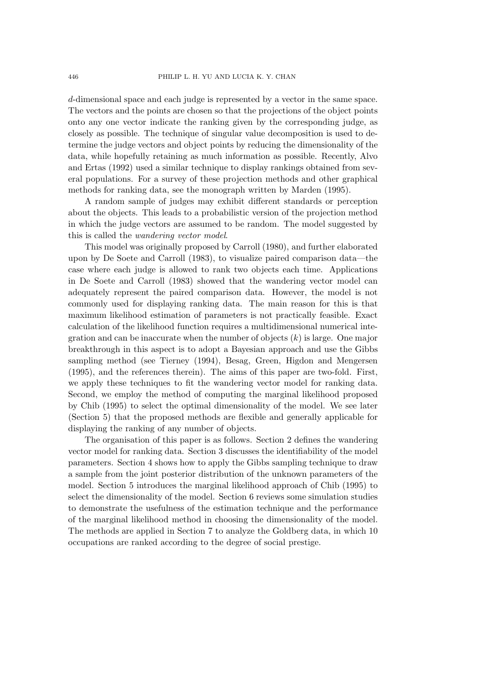d-dimensional space and each judge is represented by a vector in the same space. The vectors and the points are chosen so that the projections of the object points onto any one vector indicate the ranking given by the corresponding judge, as closely as possible. The technique of singular value decomposition is used to determine the judge vectors and object points by reducing the dimensionality of the data, while hopefully retaining as much information as possible. Recently, Alvo and Ertas (1992) used a similar technique to display rankings obtained from several populations. For a survey of these projection methods and other graphical methods for ranking data, see the monograph written by Marden (1995).

A random sample of judges may exhibit different standards or perception about the objects. This leads to a probabilistic version of the projection method in which the judge vectors are assumed to be random. The model suggested by this is called the *wandering vector model*.

This model was originally proposed by Carroll (1980), and further elaborated upon by De Soete and Carroll (1983), to visualize paired comparison data—the case where each judge is allowed to rank two objects each time. Applications in De Soete and Carroll (1983) showed that the wandering vector model can adequately represent the paired comparison data. However, the model is not commonly used for displaying ranking data. The main reason for this is that maximum likelihood estimation of parameters is not practically feasible. Exact calculation of the likelihood function requires a multidimensional numerical integration and can be inaccurate when the number of objects  $(k)$  is large. One major breakthrough in this aspect is to adopt a Bayesian approach and use the Gibbs sampling method (see Tierney (1994), Besag, Green, Higdon and Mengersen (1995), and the references therein). The aims of this paper are two-fold. First, we apply these techniques to fit the wandering vector model for ranking data. Second, we employ the method of computing the marginal likelihood proposed by Chib (1995) to select the optimal dimensionality of the model. We see later (Section 5) that the proposed methods are flexible and generally applicable for displaying the ranking of any number of objects.

The organisation of this paper is as follows. Section 2 defines the wandering vector model for ranking data. Section 3 discusses the identifiability of the model parameters. Section 4 shows how to apply the Gibbs sampling technique to draw a sample from the joint posterior distribution of the unknown parameters of the model. Section 5 introduces the marginal likelihood approach of Chib (1995) to select the dimensionality of the model. Section 6 reviews some simulation studies to demonstrate the usefulness of the estimation technique and the performance of the marginal likelihood method in choosing the dimensionality of the model. The methods are applied in Section 7 to analyze the Goldberg data, in which 10 occupations are ranked according to the degree of social prestige.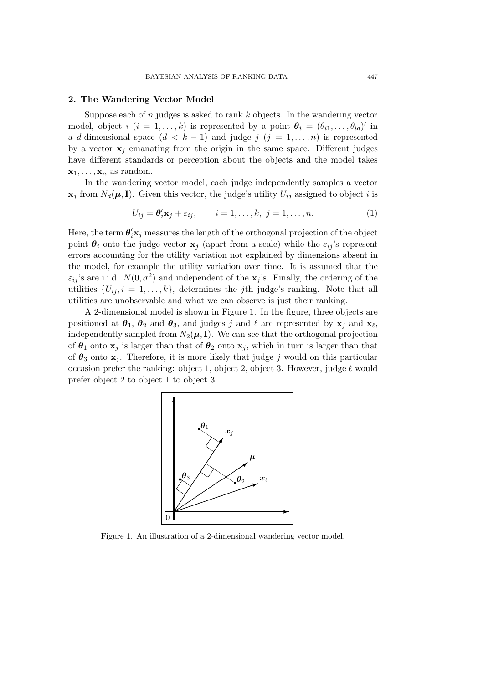#### **2. The Wandering Vector Model**

Suppose each of  $n$  judges is asked to rank  $k$  objects. In the wandering vector model, object i  $(i = 1, ..., k)$  is represented by a point  $\theta_i = (\theta_{i1}, ..., \theta_{id})'$  in a d-dimensional space  $(d < k - 1)$  and judge j  $(j = 1, \ldots, n)$  is represented by a vector  $x_j$  emanating from the origin in the same space. Different judges have different standards or perception about the objects and the model takes  $\mathbf{x}_1,\ldots,\mathbf{x}_n$  as random.

In the wandering vector model, each judge independently samples a vector  $\mathbf{x}_j$  from  $N_d(\boldsymbol{\mu}, \mathbf{I})$ . Given this vector, the judge's utility  $U_{ij}$  assigned to object i is

$$
U_{ij} = \boldsymbol{\theta}_i^t \mathbf{x}_j + \varepsilon_{ij}, \qquad i = 1, \dots, k, \ j = 1, \dots, n. \tag{1}
$$

Here, the term  $\theta'_i\mathbf{x}_j$  measures the length of the orthogonal projection of the object point  $\theta_i$  onto the judge vector  $\mathbf{x}_i$  (apart from a scale) while the  $\varepsilon_{ij}$ 's represent errors accounting for the utility variation not explained by dimensions absent in the model, for example the utility variation over time. It is assumed that the  $\varepsilon_{ii}$ 's are i.i.d.  $N(0, \sigma^2)$  and independent of the **x**<sub>j</sub>'s. Finally, the ordering of the utilities  $\{U_{ij}, i = 1, \ldots, k\}$ , determines the *j*th judge's ranking. Note that all utilities are unobservable and what we can observe is just their ranking.

A 2-dimensional model is shown in Figure 1. In the figure, three objects are positioned at  $\theta_1$ ,  $\theta_2$  and  $\theta_3$ , and judges j and  $\ell$  are represented by  $\mathbf{x}_i$  and  $\mathbf{x}_\ell$ , independently sampled from  $N_2(\mu, I)$ . We can see that the orthogonal projection of  $\theta_1$  onto  $\mathbf{x}_j$  is larger than that of  $\theta_2$  onto  $\mathbf{x}_j$ , which in turn is larger than that of  $\theta_3$  onto  $\mathbf{x}_j$ . Therefore, it is more likely that judge j would on this particular occasion prefer the ranking: object 1, object 2, object 3. However, judge  $\ell$  would prefer object 2 to object 1 to object 3.



Figure 1. An illustration of a 2-dimensional wandering vector model.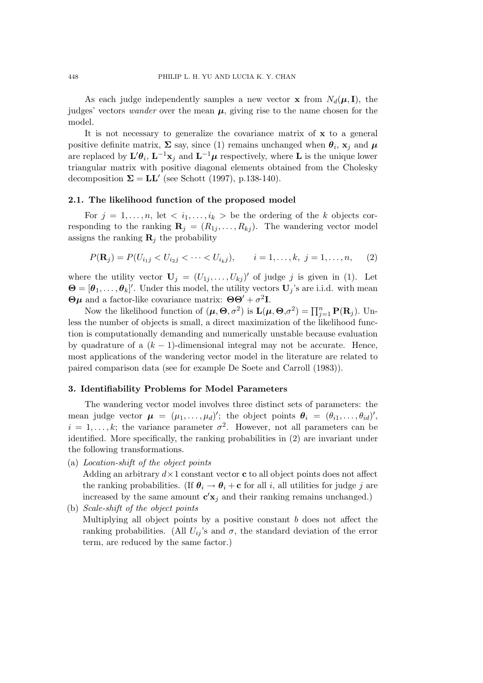As each judge independently samples a new vector **x** from  $N_d(\mu, I)$ , the judges' vectors *wander* over the mean  $\mu$ , giving rise to the name chosen for the model.

It is not necessary to generalize the covariance matrix of **x** to a general positive definite matrix,  $\Sigma$  say, since (1) remains unchanged when  $\theta_i$ ,  $\mathbf{x}_j$  and  $\boldsymbol{\mu}$ are replaced by  $\mathbf{L}'\theta_i$ ,  $\mathbf{L}^{-1}\mathbf{x}_j$  and  $\mathbf{L}^{-1}\boldsymbol{\mu}$  respectively, where  $\mathbf L$  is the unique lower triangular matrix with positive diagonal elements obtained from the Cholesky decomposition  $\Sigma = LL'$  (see Schott (1997), p.138-140).

# **2.1. The likelihood function of the proposed model**

For  $j = 1, \ldots, n$ , let  $\langle i_1, \ldots, i_k \rangle$  be the ordering of the k objects corresponding to the ranking  $\mathbf{R}_j = (R_{1j}, \ldots, R_{kj})$ . The wandering vector model assigns the ranking  $\mathbf{R}_i$  the probability

$$
P(\mathbf{R}_j) = P(U_{i_1j} < U_{i_2j} < \cdots < U_{i_kj}), \qquad i = 1, \ldots, k, \ j = 1, \ldots, n, \tag{2}
$$

where the utility vector  $\mathbf{U}_j = (U_{1j}, \ldots, U_{kj})'$  of judge j is given in (1). Let  $\mathbf{\Theta} = [\theta_1, \dots, \theta_k]'$ . Under this model, the utility vectors  $\mathbf{U}_j$ 's are i.i.d. with mean **Θ***μ* and a factor-like covariance matrix:  $\Theta \Theta' + \sigma^2 \mathbf{I}$ .

Now the likelihood function of  $(\mu, \Theta, \sigma^2)$  is  $\mathbf{L}(\mu, \Theta, \sigma^2) = \prod_{j=1}^n \mathbf{P}(\mathbf{R}_j)$ . Unless the number of objects is small, a direct maximization of the likelihood function is computationally demanding and numerically unstable because evaluation by quadrature of a  $(k - 1)$ -dimensional integral may not be accurate. Hence, most applications of the wandering vector model in the literature are related to paired comparison data (see for example De Soete and Carroll (1983)).

# **3. Identifiability Problems for Model Parameters**

The wandering vector model involves three distinct sets of parameters: the mean judge vector  $\mu = (\mu_1, \dots, \mu_d)'$ ; the object points  $\theta_i = (\theta_{i1}, \dots, \theta_{id})'$ ,  $i = 1, \ldots, k$ ; the variance parameter  $\sigma^2$ . However, not all parameters can be identified. More specifically, the ranking probabilities in (2) are invariant under the following transformations.

(a) *Location-shift of the object points*

Adding an arbitrary  $d \times 1$  constant vector **c** to all object points does not affect the ranking probabilities. (If  $\theta_i \rightarrow \theta_i + c$  for all *i*, all utilities for judge *j* are increased by the same amount  $\mathbf{c}'\mathbf{x}_j$  and their ranking remains unchanged.) (b) *Scale-shift of the object points*

Multiplying all object points by a positive constant  $b$  does not affect the ranking probabilities. (All  $U_{ij}$ 's and  $\sigma$ , the standard deviation of the error term, are reduced by the same factor.)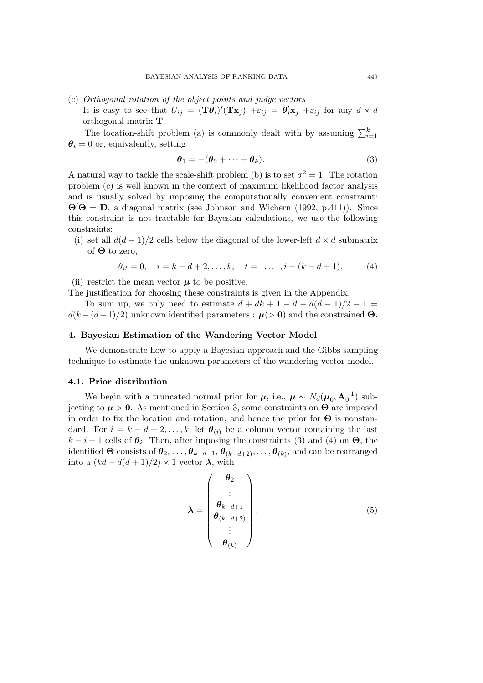- (c) *Orthogonal rotation of the object points and judge vectors*
	- It is easy to see that  $U_{ij} = (\mathbf{T}\boldsymbol{\theta}_i)'(\mathbf{T}\mathbf{x}_j) + \varepsilon_{ij} = \boldsymbol{\theta}_i' \mathbf{x}_j + \varepsilon_{ij}$  for any  $d \times d$ orthogonal matrix **T**.

The location-shift problem (a) is commonly dealt with by assuming  $\sum_{i=1}^{k}$  $\theta_i = 0$  or, equivalently, setting

$$
\boldsymbol{\theta}_1 = -(\boldsymbol{\theta}_2 + \dots + \boldsymbol{\theta}_k). \tag{3}
$$

A natural way to tackle the scale-shift problem (b) is to set  $\sigma^2 = 1$ . The rotation problem (c) is well known in the context of maximum likelihood factor analysis and is usually solved by imposing the computationally convenient constraint:  $\mathbf{\Theta}'\mathbf{\Theta} = \mathbf{D}$ , a diagonal matrix (see Johnson and Wichern (1992, p.411)). Since this constraint is not tractable for Bayesian calculations, we use the following constraints:

(i) set all  $d(d-1)/2$  cells below the diagonal of the lower-left  $d \times d$  submatrix of **Θ** to zero,

$$
\theta_{it} = 0, \quad i = k - d + 2, \dots, k, \quad t = 1, \dots, i - (k - d + 1). \tag{4}
$$

(ii) restrict the mean vector  $\mu$  to be positive.

The justification for choosing these constraints is given in the Appendix.

To sum up, we only need to estimate  $d + dk + 1 - d - d(d - 1)/2 - 1 =$  $d(k - (d-1)/2)$  unknown identified parameters :  $\mu$ (> 0) and the constrained  $\Theta$ .

# **4. Bayesian Estimation of the Wandering Vector Model**

We demonstrate how to apply a Bayesian approach and the Gibbs sampling technique to estimate the unknown parameters of the wandering vector model.

#### **4.1. Prior distribution**

We begin with a truncated normal prior for  $\mu$ , i.e.,  $\mu \sim N_d(\mu_0, \mathbf{A}_0^{-1})$  subjecting to  $\mu > 0$ . As mentioned in Section 3, some constraints on  $\Theta$  are imposed in order to fix the location and rotation, and hence the prior for **Θ** is nonstandard. For  $i = k - d + 2, \ldots, k$ , let  $\theta_{(i)}$  be a column vector containing the last  $k - i + 1$  cells of  $\theta_i$ . Then, after imposing the constraints (3) and (4) on  $\Theta$ , the identified  $\Theta$  consists of  $\theta_2, \ldots, \theta_{k-d+1}, \theta_{(k-d+2)}, \ldots, \theta_{(k)}$ , and can be rearranged into a  $(kd - d(d+1)/2) \times 1$  vector  $\lambda$ , with

$$
\lambda = \begin{pmatrix} \theta_2 \\ \vdots \\ \theta_{k-d+1} \\ \theta_{(k-d+2)} \\ \vdots \\ \theta_{(k)} \end{pmatrix} .
$$
 (5)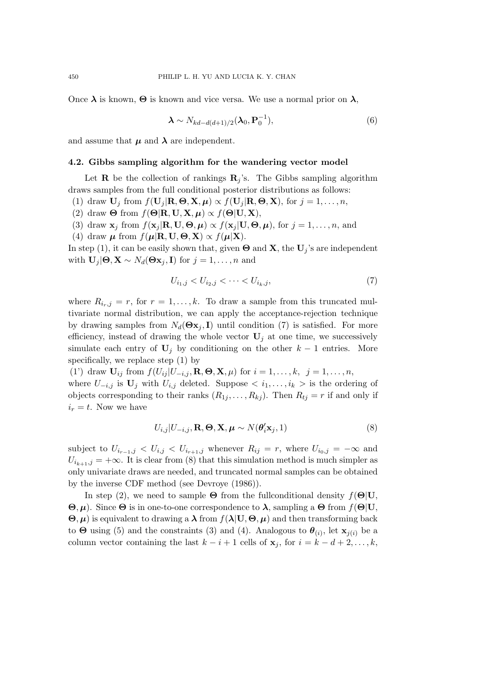Once  $\lambda$  is known,  $\Theta$  is known and vice versa. We use a normal prior on  $\lambda$ ,

$$
\boldsymbol{\lambda} \sim N_{kd-d(d+1)/2}(\boldsymbol{\lambda}_0, \mathbf{P}_0^{-1}),
$$
\n(6)

and assume that  $\mu$  and  $\lambda$  are independent.

## **4.2. Gibbs sampling algorithm for the wandering vector model**

Let **R** be the collection of rankings  $\mathbf{R}_i$ 's. The Gibbs sampling algorithm draws samples from the full conditional posterior distributions as follows:

(1) draw  $\mathbf{U}_j$  from  $f(\mathbf{U}_j | \mathbf{R}, \boldsymbol{\Theta}, \mathbf{X}, \boldsymbol{\mu}) \propto f(\mathbf{U}_j | \mathbf{R}, \boldsymbol{\Theta}, \mathbf{X})$ , for  $j = 1, \ldots, n$ ,

- (2) draw  $\Theta$  from  $f(\Theta | \mathbf{R}, \mathbf{U}, \mathbf{X}, \boldsymbol{\mu}) \propto f(\Theta | \mathbf{U}, \mathbf{X})$ ,
- (3) draw  $\mathbf{x}_i$  from  $f(\mathbf{x}_i | \mathbf{R}, \mathbf{U}, \boldsymbol{\Theta}, \boldsymbol{\mu}) \propto f(\mathbf{x}_i | \mathbf{U}, \boldsymbol{\Theta}, \boldsymbol{\mu})$ , for  $j = 1, \ldots, n$ , and
- (4) draw  $\mu$  from  $f(\mu|\mathbf{R}, \mathbf{U}, \boldsymbol{\Theta}, \mathbf{X}) \propto f(\mu|\mathbf{X}).$

In step (1), it can be easily shown that, given  $\Theta$  and **X**, the  $\mathbf{U}_j$ 's are independent with  $\mathbf{U}_j | \mathbf{\Theta}, \mathbf{X} \sim N_d(\mathbf{\Theta} \mathbf{x}_j, \mathbf{I})$  for  $j = 1, \ldots, n$  and

$$
U_{i_1,j} < U_{i_2,j} < \dots < U_{i_k,j},\tag{7}
$$

where  $R_{i_r,j} = r$ , for  $r = 1, \ldots, k$ . To draw a sample from this truncated multivariate normal distribution, we can apply the acceptance-rejection technique by drawing samples from  $N_d(\mathbf{\Theta} \mathbf{x}_i, \mathbf{I})$  until condition (7) is satisfied. For more efficiency, instead of drawing the whole vector  $U_j$  at one time, we successively simulate each entry of  $U_j$  by conditioning on the other  $k-1$  entries. More specifically, we replace step (1) by

(1') draw  $\mathbf{U}_{ij}$  from  $f(U_{ij} | U_{-i,j}, \mathbf{R}, \Theta, \mathbf{X}, \mu)$  for  $i = 1, \ldots, k, j = 1, \ldots, n$ , where  $U_{-i,j}$  is  $\mathbf{U}_j$  with  $U_{i,j}$  deleted. Suppose  $\langle i_1,\ldots,i_k\rangle$  is the ordering of objects corresponding to their ranks  $(R_{1j},...,R_{kj})$ . Then  $R_{tj} = r$  if and only if  $i_r = t$ . Now we have

$$
U_{i,j}|U_{-i,j},\mathbf{R},\boldsymbol{\Theta},\mathbf{X},\boldsymbol{\mu}\sim N(\boldsymbol{\theta}_{i}'\mathbf{x}_{j},1)
$$
\n(8)

subject to  $U_{i_{r-1},j} < U_{i,j} < U_{i_{r+1},j}$  whenever  $R_{ij} = r$ , where  $U_{i_0,j} = -\infty$  and  $U_{i_{k+1},j} = +\infty$ . It is clear from (8) that this simulation method is much simpler as only univariate draws are needed, and truncated normal samples can be obtained by the inverse CDF method (see Devroye (1986)).

In step (2), we need to sample  $\Theta$  from the fullconditional density  $f(\Theta|\mathbf{U})$ , **Θ**, *µ*). Since **Θ** is in one-to-one correspondence to *λ*, sampling a **Θ** from f(**Θ**|**U**,  $\Theta$ ,  $\mu$ ) is equivalent to drawing a  $\lambda$  from  $f(\lambda | \mathbf{U}, \Theta, \mu)$  and then transforming back to  $\Theta$  using (5) and the constraints (3) and (4). Analogous to  $\theta_{(i)}$ , let  $\mathbf{x}_{i(i)}$  be a column vector containing the last  $k - i + 1$  cells of  $\mathbf{x}_j$ , for  $i = k - d + 2, \ldots, k$ ,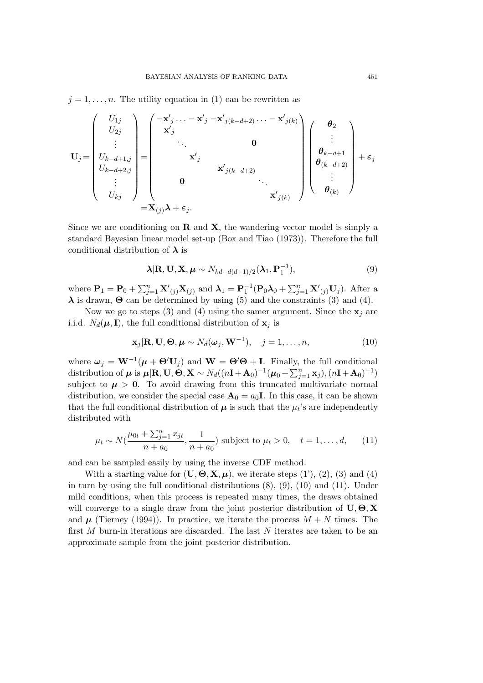$j = 1, \ldots, n$ . The utility equation in (1) can be rewritten as

$$
\mathbf{U}_{j} = \begin{pmatrix} U_{1j} \\ U_{2j} \\ \vdots \\ U_{k-d+1,j} \\ U_{k-d+2,j} \\ \vdots \\ U_{kj} \end{pmatrix} = \begin{pmatrix} -\mathbf{x}'_{j} \dots -\mathbf{x}'_{j} - \mathbf{x}'_{j(k-d+2)} \dots -\mathbf{x}'_{j(k)} \\ \mathbf{x}'_{j} \\ \mathbf{x}'_{j} \\ \mathbf{0} \\ \mathbf{x}'_{j(k-d+2)} \\ \vdots \\ \mathbf{x}'_{j(k)} \end{pmatrix} \begin{pmatrix} \theta_{2} \\ \vdots \\ \theta_{k-d+1} \\ \theta_{(k-d+2)} \\ \vdots \\ \theta_{(k)} \end{pmatrix} + \varepsilon_{j}
$$

Since we are conditioning on **R** and **X**, the wandering vector model is simply a standard Bayesian linear model set-up (Box and Tiao (1973)). Therefore the full conditional distribution of *λ* is

$$
\boldsymbol{\lambda}|\mathbf{R},\mathbf{U},\mathbf{X},\boldsymbol{\mu}\sim N_{kd-d(d+1)/2}(\boldsymbol{\lambda}_1,\mathbf{P}_1^{-1}),
$$
\n(9)

where  $\mathbf{P}_1 = \mathbf{P}_0 + \sum_{j=1}^n \mathbf{X}'_{(j)} \mathbf{X}_{(j)}$  and  $\boldsymbol{\lambda}_1 = \mathbf{P}_1^{-1}(\mathbf{P}_0 \boldsymbol{\lambda}_0 + \sum_{j=1}^n \mathbf{X}'_{(j)} \mathbf{U}_j)$ . After a *λ* is drawn, **Θ** can be determined by using (5) and the constraints (3) and (4).

Now we go to steps (3) and (4) using the samer argument. Since the  $\mathbf{x}_i$  are i.i.d.  $N_d(\mu, I)$ , the full conditional distribution of  $\mathbf{x}_j$  is

$$
\mathbf{x}_j|\mathbf{R},\mathbf{U},\mathbf{\Theta},\boldsymbol{\mu}\sim N_d(\boldsymbol{\omega}_j,\mathbf{W}^{-1}),\quad j=1,\ldots,n,
$$
\n(10)

where  $\boldsymbol{\omega}_j = \mathbf{W}^{-1}(\boldsymbol{\mu} + \boldsymbol{\Theta}' \mathbf{U}_j)$  and  $\mathbf{W} = \boldsymbol{\Theta}' \boldsymbol{\Theta} + \mathbf{I}$ . Finally, the full conditional distribution of  $\boldsymbol{\mu}$  is  $\boldsymbol{\mu}|\mathbf{R}, \mathbf{U}, \boldsymbol{\Theta}, \mathbf{X} \sim N_d((n\mathbf{I} + \mathbf{A}_0)^{-1}(\boldsymbol{\mu}_0 + \sum_{j=1}^n \mathbf{x}_j), (n\mathbf{I} + \mathbf{A}_0)^{-1})$ subject to  $\mu > 0$ . To avoid drawing from this truncated multivariate normal distribution, we consider the special case  $\mathbf{A}_0 = a_0 \mathbf{I}$ . In this case, it can be shown that the full conditional distribution of  $\mu$  is such that the  $\mu_t$ 's are independently distributed with

$$
\mu_t \sim N(\frac{\mu_{0t} + \sum_{j=1}^n x_{jt}}{n + a_0}, \frac{1}{n + a_0})
$$
 subject to  $\mu_t > 0$ ,  $t = 1, ..., d$ , (11)

and can be sampled easily by using the inverse CDF method.

With a starting value for  $(\mathbf{U}, \mathbf{\Theta}, \mathbf{X}, \boldsymbol{\mu})$ , we iterate steps  $(1')$ ,  $(2)$ ,  $(3)$  and  $(4)$ in turn by using the full conditional distributions (8), (9), (10) and (11). Under mild conditions, when this process is repeated many times, the draws obtained will converge to a single draw from the joint posterior distribution of **U**, **Θ**, **X** and  $\mu$  (Tierney (1994)). In practice, we iterate the process  $M + N$  times. The first  $M$  burn-in iterations are discarded. The last  $N$  iterates are taken to be an approximate sample from the joint posterior distribution.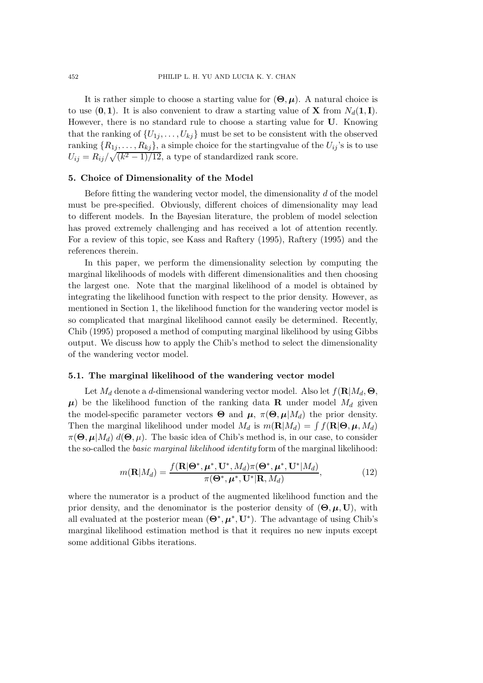It is rather simple to choose a starting value for  $(\Theta, \mu)$ . A natural choice is to use  $(0, 1)$ . It is also convenient to draw a starting value of **X** from  $N_d(1, 1)$ . However, there is no standard rule to choose a starting value for **U**. Knowing that the ranking of  $\{U_{1j},\ldots,U_{kj}\}$  must be set to be consistent with the observed ranking  $\{R_{1j},\ldots,R_{kj}\}$ , a simple choice for the startingvalue of the  $U_{ij}$ 's is to use  $U_{ij} = R_{ij}/\sqrt{(k^2 - 1)/12}$ , a type of standardized rank score.

# **5. Choice of Dimensionality of the Model**

Before fitting the wandering vector model, the dimensionality  $d$  of the model must be pre-specified. Obviously, different choices of dimensionality may lead to different models. In the Bayesian literature, the problem of model selection has proved extremely challenging and has received a lot of attention recently. For a review of this topic, see Kass and Raftery (1995), Raftery (1995) and the references therein.

In this paper, we perform the dimensionality selection by computing the marginal likelihoods of models with different dimensionalities and then choosing the largest one. Note that the marginal likelihood of a model is obtained by integrating the likelihood function with respect to the prior density. However, as mentioned in Section 1, the likelihood function for the wandering vector model is so complicated that marginal likelihood cannot easily be determined. Recently, Chib (1995) proposed a method of computing marginal likelihood by using Gibbs output. We discuss how to apply the Chib's method to select the dimensionality of the wandering vector model.

# **5.1. The marginal likelihood of the wandering vector model**

Let  $M_d$  denote a d-dimensional wandering vector model. Also let  $f(\mathbf{R}|M_d, \mathbf{\Theta})$ ,  $\mu$ ) be the likelihood function of the ranking data **R** under model  $M_d$  given the model-specific parameter vectors  $\Theta$  and  $\mu$ ,  $\pi(\Theta, \mu|M_d)$  the prior density. Then the marginal likelihood under model  $M_d$  is  $m(\mathbf{R}|M_d) = \int f(\mathbf{R}|\mathbf{\Theta}, \boldsymbol{\mu}, M_d)$  $\pi(\Theta, \mu | M_d)$   $d(\Theta, \mu)$ . The basic idea of Chib's method is, in our case, to consider the so-called the *basic marginal likelihood identity* form of the marginal likelihood:

$$
m(\mathbf{R}|M_d) = \frac{f(\mathbf{R}|\mathbf{\Theta}^*, \boldsymbol{\mu}^*, \mathbf{U}^*, M_d)\pi(\mathbf{\Theta}^*, \boldsymbol{\mu}^*, \mathbf{U}^*|M_d)}{\pi(\mathbf{\Theta}^*, \boldsymbol{\mu}^*, \mathbf{U}^*|\mathbf{R}, M_d)},
$$
(12)

where the numerator is a product of the augmented likelihood function and the prior density, and the denominator is the posterior density of  $(\Theta, \mu, \mathbf{U})$ , with all evaluated at the posterior mean  $(\mathbf{\Theta}^*, \mu^*, \mathbf{U}^*)$ . The advantage of using Chib's marginal likelihood estimation method is that it requires no new inputs except some additional Gibbs iterations.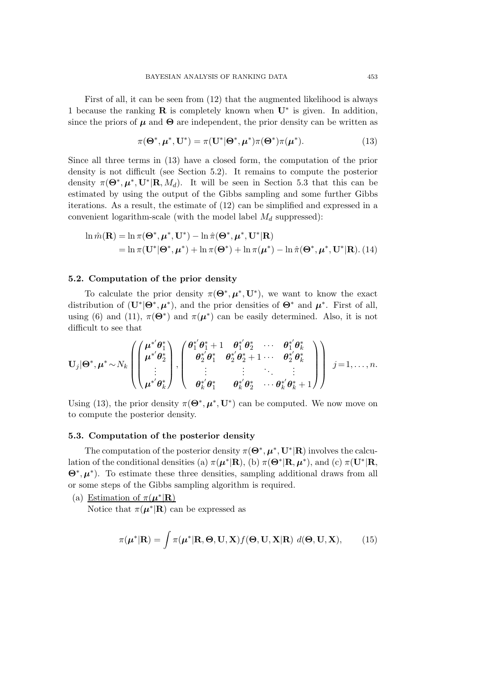First of all, it can be seen from (12) that the augmented likelihood is always 1 because the ranking **R** is completely known when **U**∗ is given. In addition, since the priors of  $\mu$  and  $\Theta$  are independent, the prior density can be written as

$$
\pi(\mathbf{\Theta}^*, \boldsymbol{\mu}^*, \mathbf{U}^*) = \pi(\mathbf{U}^*|\mathbf{\Theta}^*, \boldsymbol{\mu}^*)\pi(\mathbf{\Theta}^*)\pi(\boldsymbol{\mu}^*).
$$
(13)

Since all three terms in (13) have a closed form, the computation of the prior density is not difficult (see Section 5.2). It remains to compute the posterior density  $\pi(\mathbf{\Theta}^*, \boldsymbol{\mu}^*, \mathbf{U}^*|\mathbf{R}, M_d)$ . It will be seen in Section 5.3 that this can be estimated by using the output of the Gibbs sampling and some further Gibbs iterations. As a result, the estimate of (12) can be simplified and expressed in a convenient logarithm-scale (with the model label  $M_d$  suppressed):

$$
\ln \hat{m}(\mathbf{R}) = \ln \pi(\mathbf{\Theta}^*, \boldsymbol{\mu}^*, \mathbf{U}^*) - \ln \hat{\pi}(\mathbf{\Theta}^*, \boldsymbol{\mu}^*, \mathbf{U}^* | \mathbf{R})
$$
  
=  $\ln \pi(\mathbf{U}^* | \mathbf{\Theta}^*, \boldsymbol{\mu}^*) + \ln \pi(\mathbf{\Theta}^*) + \ln \pi(\boldsymbol{\mu}^*) - \ln \hat{\pi}(\mathbf{\Theta}^*, \boldsymbol{\mu}^*, \mathbf{U}^* | \mathbf{R}).$  (14)

# **5.2. Computation of the prior density**

To calculate the prior density  $\pi(\mathbf{\Theta}^*, \mu^*, \mathbf{U}^*)$ , we want to know the exact distribution of  $(\mathbf{U}^*|\mathbf{\Theta}^*, \boldsymbol{\mu}^*)$ , and the prior densities of  $\mathbf{\Theta}^*$  and  $\boldsymbol{\mu}^*$ . First of all, using (6) and (11),  $\pi(\Theta^*)$  and  $\pi(\mu^*)$  can be easily determined. Also, it is not difficult to see that

$$
\mathbf{U}_{j} | \mathbf{\Theta}^{*}, \boldsymbol{\mu}^{*} \sim N_{k} \left( \begin{pmatrix} \boldsymbol{\mu}^{*'} \boldsymbol{\theta}_{1}^{*} \\ \boldsymbol{\mu}^{*'} \boldsymbol{\theta}_{2}^{*} \\ \vdots \\ \boldsymbol{\mu}^{*'} \boldsymbol{\theta}_{k}^{*} \end{pmatrix}, \begin{pmatrix} \boldsymbol{\theta}_{1}^{*'} \boldsymbol{\theta}_{1}^{*} + 1 & \boldsymbol{\theta}_{1}^{*'} \boldsymbol{\theta}_{2}^{*} & \cdots & \boldsymbol{\theta}_{1}^{*'} \boldsymbol{\theta}_{k}^{*} \\ \boldsymbol{\theta}_{2}^{*'} \boldsymbol{\theta}_{1}^{*} & \boldsymbol{\theta}_{2}^{*'} \boldsymbol{\theta}_{2}^{*} + 1 & \cdots & \boldsymbol{\theta}_{2}^{*'} \boldsymbol{\theta}_{k}^{*} \\ \vdots & \vdots & \ddots & \vdots \\ \boldsymbol{\theta}_{k}^{*'} \boldsymbol{\theta}_{1}^{*} & \boldsymbol{\theta}_{k}^{*'} \boldsymbol{\theta}_{2}^{*} & \cdots & \boldsymbol{\theta}_{k}^{*'} \boldsymbol{\theta}_{k}^{*} + 1 \end{pmatrix} \right) j = 1, \ldots, n.
$$

Using (13), the prior density  $\pi(\mathbf{\Theta}^*, \mu^*, \mathbf{U}^*)$  can be computed. We now move on to compute the posterior density.

#### **5.3. Computation of the posterior density**

The computation of the posterior density  $\pi(\mathbf{\Theta}^*, \mathbf{\mu}^*, \mathbf{U}^*|\mathbf{R})$  involves the calculation of the conditional densities (a)  $\pi(\mu^*|\mathbf{R})$ , (b)  $\pi(\Theta^*|\mathbf{R}, \mu^*)$ , and (c)  $\pi(\mathbf{U}^*|\mathbf{R},$ **Θ**∗, *µ*∗). To estimate these three densities, sampling additional draws from all or some steps of the Gibbs sampling algorithm is required.

(a) Estimation of  $\pi(\mu^*|\mathbf{R})$ 

Notice that  $\pi(\mu^*|\mathbf{R})$  can be expressed as

$$
\pi(\boldsymbol{\mu}^*|\mathbf{R}) = \int \pi(\boldsymbol{\mu}^*|\mathbf{R}, \boldsymbol{\Theta}, \mathbf{U}, \mathbf{X}) f(\boldsymbol{\Theta}, \mathbf{U}, \mathbf{X}|\mathbf{R}) \, d(\boldsymbol{\Theta}, \mathbf{U}, \mathbf{X}), \qquad (15)
$$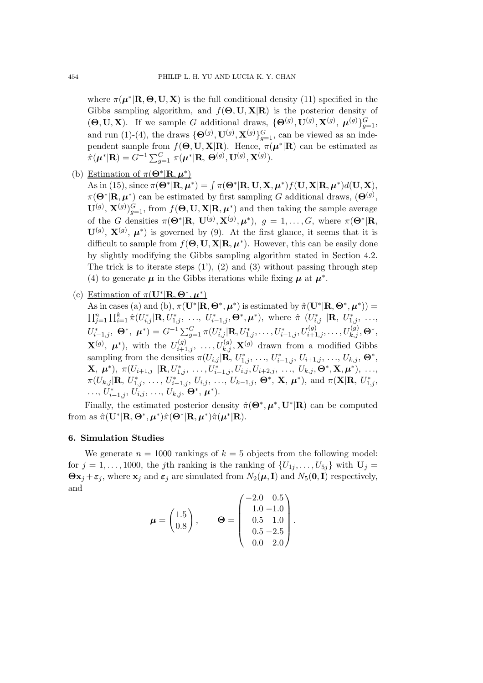where  $\pi(\mu^*|\mathbf{R}, \Theta, \mathbf{U}, \mathbf{X})$  is the full conditional density (11) specified in the Gibbs sampling algorithm, and f(**Θ**, **U**, **X**|**R**) is the posterior density of  $(\mathbf{\Theta}, \mathbf{U}, \mathbf{X})$ . If we sample G additional draws,  $\{\mathbf{\Theta}^{(g)}, \mathbf{U}^{(g)}, \mathbf{X}^{(g)}, \boldsymbol{\mu}^{(g)}\}_{g=1}^G$ , and run (1)-(4), the draws  ${\{\mathbf{\Theta}^{(g)}, \mathbf{U}^{(g)}, \mathbf{X}^{(g)}\}_{g=1}^G}$ , can be viewed as an independent sample from  $f(\mathbf{\Theta}, \mathbf{U}, \mathbf{X}|\mathbf{R})$ . Hence,  $\pi(\boldsymbol{\mu}^*|\mathbf{R})$  can be estimated as  $\hat{\pi}(\mu^*|\mathbf{R}) = G^{-1} \sum_{g=1}^G \pi(\mu^*|\mathbf{R}, \Theta^{(g)}, \mathbf{U}^{(g)}, \mathbf{X}^{(g)}).$ 

(b) Estimation of  $\pi(\mathbf{\Theta}^*|\mathbf{R}, \boldsymbol{\mu}^*)$ 

 $\mathbf{A}\mathbf{s}$  in (15), since  $\pi(\mathbf{\Theta}^*|\mathbf{R}, \boldsymbol{\mu}^*) = \int \pi(\mathbf{\Theta}^*|\mathbf{R}, \mathbf{U}, \mathbf{X}, \boldsymbol{\mu}^*)f(\mathbf{U}, \mathbf{X}|\mathbf{R}, \boldsymbol{\mu}^*)d(\mathbf{U}, \mathbf{X}),$  $\pi(\mathbf{\Theta}^*|\mathbf{R}, \boldsymbol{\mu}^*)$  can be estimated by first sampling G additional draws,  $(\mathbf{\Theta}^{(g)},$  $\mathbf{U}^{(g)}$ ,  $\mathbf{X}^{(g)}$ ) $_{g=1}^G$ , from  $f(\mathbf{\Theta}, \mathbf{U}, \mathbf{X} | \mathbf{R}, \boldsymbol{\mu}^*)$  and then taking the sample average of the G densities  $\pi(\mathbf{\Theta}^*|\mathbf{R}, \mathbf{U}^{(g)}, \mathbf{X}^{(g)}, \boldsymbol{\mu}^*)$ ,  $g = 1, \ldots, G$ , where  $\pi(\mathbf{\Theta}^*|\mathbf{R}, \mathbf{U}^{(g)}, \mathbf{X}^{(g)}, \boldsymbol{\mu}^*)$  $\mathbf{U}^{(g)}$ ,  $\mathbf{X}^{(g)}$ ,  $\boldsymbol{\mu}^*$ ) is governed by (9). At the first glance, it seems that it is difficult to sample from  $f(\mathbf{\Theta}, \mathbf{U}, \mathbf{X} | \mathbf{R}, \boldsymbol{\mu}^*)$ . However, this can be easily done by slightly modifying the Gibbs sampling algorithm stated in Section 4.2. The trick is to iterate steps  $(1')$ ,  $(2)$  and  $(3)$  without passing through step (4) to generate  $\mu$  in the Gibbs iterations while fixing  $\mu$  at  $\mu^*$ .

(c) Estimation of  $\pi(\mathbf{U}^*|\mathbf{R}, \Theta^*, \mu^*)$ 

As in cases (a) and (b),  $\pi(\mathbf{U}^*|\mathbf{R}, \mathbf{\Theta}^*, \boldsymbol{\mu}^*)$  is estimated by  $\hat{\pi}(\mathbf{U}^*|\mathbf{R}, \mathbf{\Theta}^*, \boldsymbol{\mu}^*)$  =  $\prod_{j=1}^n \prod_{i=1}^k \hat{\pi}(U_{i,j}^* | \mathbf{R}, U_{1,j}^*, \ldots, U_{i-1,j}^*, \mathbf{\Theta}^*, \boldsymbol{\mu}^*)$ , where  $\hat{\pi}$   $(U_{i,j}^* | \mathbf{R}, U_{1,j}^*, \ldots, U_{1,j}^*, \ldots)$  $U_{i-1,j}^*, \ \mathbf{\Theta}^*, \ \boldsymbol{\mu}^* ) = G^{-1} {\textstyle \sum_{j=1}^G} \pi(U_{i,j}^* | {\mathbf{R}}, U_{1,j}^*, \ldots, U_{i-1,j}^*, U_{i+1,j}^{(g)}, \ldots, U_{k,j}^{(g)}, \mathbf{\Theta}^*,$  $\mathbf{X}^{(g)}$ ,  $\boldsymbol{\mu}^*$ ), with the  $U_{i+1,j}^{(g)}$ , ...,  $U_{k,j}^{(g)}$ ,  $\mathbf{X}^{(g)}$  drawn from a modified Gibbs sampling from the densities  $\pi(U_{i,j} | \mathbf{R}, U^*_{1,j}, \ldots, U^*_{i-1,j}, U_{i+1,j}, \ldots, U_{k,j}, \mathbf{\Theta}^*,$  $\mathbf{X}, \ \boldsymbol{\mu}^*), \ \pi(U_{i+1,j} \ \vert \mathbf{R}, U^*_{1,j}, \ \ldots, U^*_{i-1,j}, U_{i,j}, U_{i+2,j}, \ \ldots, \ U_{k,j}, \boldsymbol{\Theta}^*, \mathbf{X}, \boldsymbol{\mu}^*), \ \ldots,$  $\pi(U_{k,j}|\mathbf{R}, U^*_{1,j}, \ldots, U^*_{i-1,j}, U_{i,j}, \ldots, U_{k-1,j}, \Theta^*, \mathbf{X}, \boldsymbol{\mu}^*)$ , and  $\pi(\mathbf{X}|\mathbf{R}, U^*_{1,j}, \ldots, U^*_{k-1,j}, U_{k,j}, \ldots, U^*_{k-1,j}, \Theta^*, \mathbf{X}, \boldsymbol{\mu}^*)$  $\dots, U^*_{i-1,j}, U_{i,j}, \dots, U_{k,j}, \mathbf{\Theta}^*, \boldsymbol{\mu}^*).$ 

Finally, the estimated posterior density  $\hat{\pi}(\mathbf{\Theta}^*, \mu^*, \mathbf{U}^*|\mathbf{R})$  can be computed from as  $\hat{\pi}(\mathbf{U}^*|\mathbf{R}, \mathbf{\Theta}^*, \boldsymbol{\mu}^*)\hat{\pi}(\mathbf{\Theta}^*|\mathbf{R}, \boldsymbol{\mu}^*)\hat{\pi}(\boldsymbol{\mu}^*|\mathbf{R}).$ 

# **6. Simulation Studies**

We generate  $n = 1000$  rankings of  $k = 5$  objects from the following model: for  $j = 1, \ldots, 1000$ , the j<sup>th</sup> ranking is the ranking of  $\{U_{1j}, \ldots, U_{5j}\}\$  with  $\mathbf{U}_j =$  $\boldsymbol{\Theta} \mathbf{x}_i + \boldsymbol{\varepsilon}_j$ , where  $\mathbf{x}_i$  and  $\boldsymbol{\varepsilon}_j$  are simulated from  $N_2(\boldsymbol{\mu}, \mathbf{I})$  and  $N_5(\mathbf{0}, \mathbf{I})$  respectively, and

$$
\boldsymbol{\mu} = \begin{pmatrix} 1.5 \\ 0.8 \end{pmatrix}, \qquad \boldsymbol{\Theta} = \begin{pmatrix} -2.0 & 0.5 \\ 1.0 & -1.0 \\ 0.5 & 1.0 \\ 0.5 & -2.5 \\ 0.0 & 2.0 \end{pmatrix}.
$$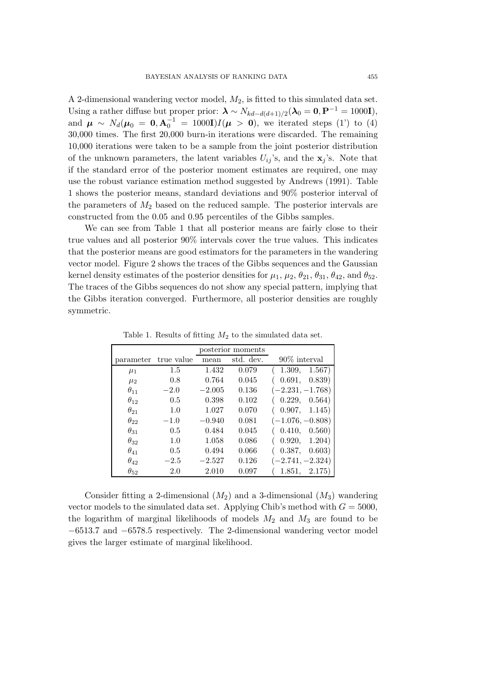A 2-dimensional wandering vector model,  $M_2$ , is fitted to this simulated data set. Using a rather diffuse but proper prior:  $\lambda \sim N_{kd-d(d+1)/2}(\lambda_0 = 0, \mathbf{P}^{-1} = 1000\mathbf{I}),$ and  $\mu \sim N_d(\mu_0 = 0, A_0^{-1} = 1000I)I(\mu > 0)$ , we iterated steps (1') to (4) 30,000 times. The first 20,000 burn-in iterations were discarded. The remaining 10,000 iterations were taken to be a sample from the joint posterior distribution of the unknown parameters, the latent variables  $U_{ij}$ 's, and the  $\mathbf{x}_j$ 's. Note that if the standard error of the posterior moment estimates are required, one may use the robust variance estimation method suggested by Andrews (1991). Table 1 shows the posterior means, standard deviations and 90% posterior interval of the parameters of  $M_2$  based on the reduced sample. The posterior intervals are constructed from the 0.05 and 0.95 percentiles of the Gibbs samples.

We can see from Table 1 that all posterior means are fairly close to their true values and all posterior 90% intervals cover the true values. This indicates that the posterior means are good estimators for the parameters in the wandering vector model. Figure 2 shows the traces of the Gibbs sequences and the Gaussian kernel density estimates of the posterior densities for  $\mu_1$ ,  $\mu_2$ ,  $\theta_{21}$ ,  $\theta_{31}$ ,  $\theta_{42}$ , and  $\theta_{52}$ . The traces of the Gibbs sequences do not show any special pattern, implying that the Gibbs iteration converged. Furthermore, all posterior densities are roughly symmetric.

|               |            | posterior moments |           |                    |
|---------------|------------|-------------------|-----------|--------------------|
| parameter     | true value | mean              | std. dev. | $90\%$ interval    |
| $\mu_1$       | 1.5        | 1.432             | 0.079     | 1.309, 1.567)      |
| $\mu_2$       | 0.8        | 0.764             | 0.045     | 0.691, 0.839)      |
| $\theta_{11}$ | $-2.0$     | $-2.005$          | 0.136     | $(-2.231, -1.768)$ |
| $\theta_{12}$ | 0.5        | 0.398             | 0.102     | 0.229, 0.564)      |
| $\theta_{21}$ | 1.0        | 1.027             | 0.070     | (0.907, 1.145)     |
| $\theta_{22}$ | $-1.0$     | $-0.940$          | 0.081     | $(-1.076, -0.808)$ |
| $\theta_{31}$ | 0.5        | 0.484             | 0.045     | (0.410, 0.560)     |
| $\theta_{32}$ | 1.0        | 1.058             | 0.086     | (0.920,<br>1.204)  |
| $\theta_{41}$ | 0.5        | 0.494             | 0.066     | (0.387,<br>0.603)  |
| $\theta_{42}$ | $-2.5$     | $-2.527$          | 0.126     | $(-2.741, -2.324)$ |
| $\theta_{52}$ | 2.0        | 2.010             | 0.097     | 1.851, 2.175)      |

Table 1. Results of fitting  $M_2$  to the simulated data set.

Consider fitting a 2-dimensional  $(M_2)$  and a 3-dimensional  $(M_3)$  wandering vector models to the simulated data set. Applying Chib's method with  $G = 5000$ , the logarithm of marginal likelihoods of models  $M_2$  and  $M_3$  are found to be −6513.7 and −6578.5 respectively. The 2-dimensional wandering vector model gives the larger estimate of marginal likelihood.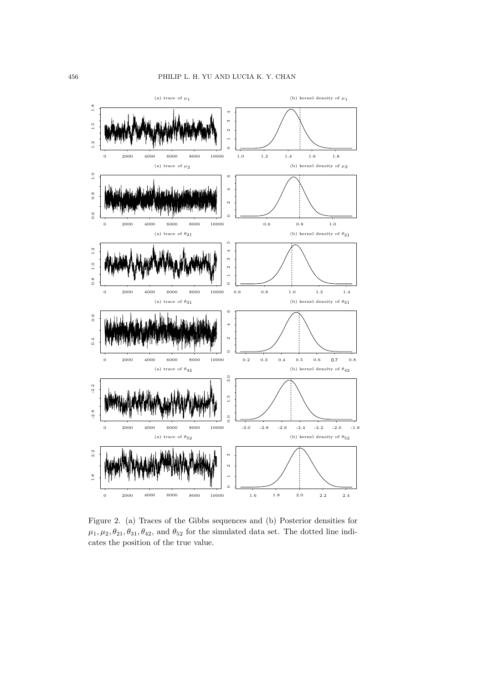

Figure 2. (a) Traces of the Gibbs sequences and (b) Posterior densities for  $\mu_1, \mu_2, \theta_{21}, \theta_{31}, \theta_{42}$ , and  $\theta_{52}$  for the simulated data set. The dotted line indicates the position of the true value.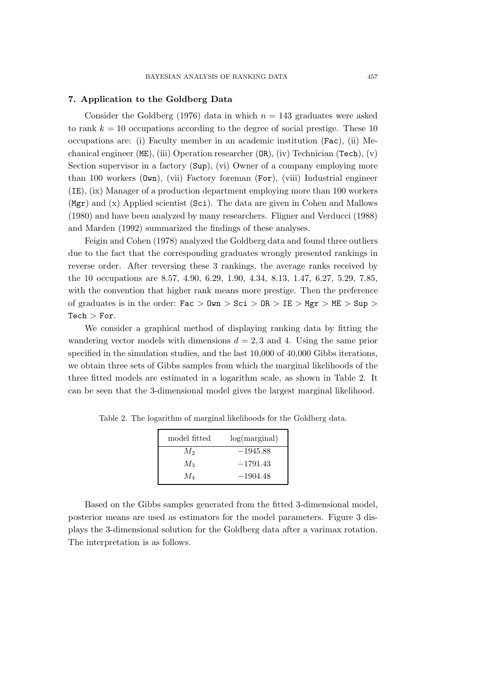## **7. Application to the Goldberg Data**

Consider the Goldberg (1976) data in which  $n = 143$  graduates were asked to rank  $k = 10$  occupations according to the degree of social prestige. These 10 occupations are: (i) Faculty member in an academic institution (Fac), (ii) Mechanical engineer (ME), (iii) Operation researcher (OR), (iv) Technician (Tech), (v) Section supervisor in a factory (Sup), (vi) Owner of a company employing more than 100 workers (Own), (vii) Factory foreman (For), (viii) Industrial engineer (IE), (ix) Manager of a production department employing more than 100 workers (Mgr) and (x) Applied scientist (Sci). The data are given in Cohen and Mallows (1980) and have been analyzed by many researchers. Fligner and Verducci (1988) and Marden (1992) summarized the findings of these analyses.

Feigin and Cohen (1978) analyzed the Goldberg data and found three outliers due to the fact that the corresponding graduates wrongly presented rankings in reverse order. After reversing these 3 rankings, the average ranks received by the 10 occupations are 8.57, 4.90, 6.29, 1.90, 4.34, 8.13, 1.47, 6.27, 5.29, 7.85, with the convention that higher rank means more prestige. Then the preference of graduates is in the order: Fac  $>$  Own  $>$  Sci  $>$  OR  $>$  IE  $>$  Mgr  $>$  ME  $>$  Sup  $>$  $Tech > For.$ 

We consider a graphical method of displaying ranking data by fitting the wandering vector models with dimensions  $d = 2, 3$  and 4. Using the same prior specified in the simulation studies, and the last 10,000 of 40,000 Gibbs iterations, we obtain three sets of Gibbs samples from which the marginal likelihoods of the three fitted models are estimated in a logarithm scale, as shown in Table 2. It can be seen that the 3-dimensional model gives the largest marginal likelihood.

| model fitted | log(maxginal) |  |
|--------------|---------------|--|
| $M_2$        | $-1945.88$    |  |
| $M_3$        | $-1791.43$    |  |
| $M_{4}$      | $-1904.48$    |  |

Table 2. The logarithm of marginal likelihoods for the Goldberg data.

Based on the Gibbs samples generated from the fitted 3-dimensional model, posterior means are used as estimators for the model parameters. Figure 3 displays the 3-dimensional solution for the Goldberg data after a varimax rotation. The interpretation is as follows.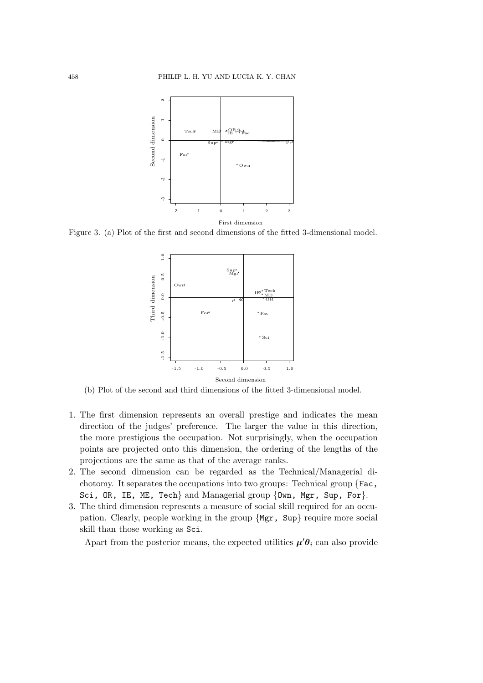

Figure 3. (a) Plot of the first and second dimensions of the fitted 3-dimensional model.



(b) Plot of the second and third dimensions of the fitted 3-dimensional model.

- 1. The first dimension represents an overall prestige and indicates the mean direction of the judges' preference. The larger the value in this direction, the more prestigious the occupation. Not surprisingly, when the occupation points are projected onto this dimension, the ordering of the lengths of the projections are the same as that of the average ranks.
- 2. The second dimension can be regarded as the Technical/Managerial dichotomy. It separates the occupations into two groups: Technical group {Fac, Sci, OR, IE, ME, Tech} and Managerial group {Own, Mgr, Sup, For}.
- 3. The third dimension represents a measure of social skill required for an occupation. Clearly, people working in the group {Mgr, Sup} require more social skill than those working as Sci.

Apart from the posterior means, the expected utilities  $\mu' \theta_i$  can also provide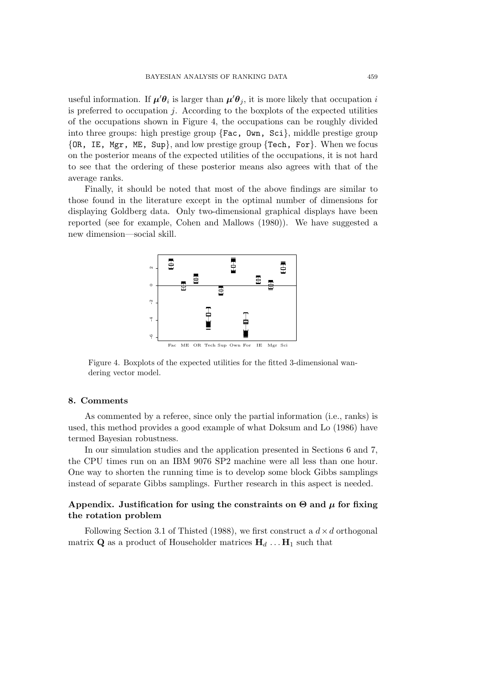useful information. If  $\mu' \theta_i$  is larger than  $\mu' \theta_j$ , it is more likely that occupation i is preferred to occupation  $j$ . According to the boxplots of the expected utilities of the occupations shown in Figure 4, the occupations can be roughly divided into three groups: high prestige group  $\{Fac, \; \mathsf{Own}, \; \mathsf{Sci}\},$  middle prestige group {OR, IE, Mgr, ME, Sup}, and low prestige group {Tech, For}. When we focus on the posterior means of the expected utilities of the occupations, it is not hard to see that the ordering of these posterior means also agrees with that of the average ranks.

Finally, it should be noted that most of the above findings are similar to those found in the literature except in the optimal number of dimensions for displaying Goldberg data. Only two-dimensional graphical displays have been reported (see for example, Cohen and Mallows (1980)). We have suggested a new dimension—social skill.



Figure 4. Boxplots of the expected utilities for the fitted 3-dimensional wandering vector model.

## **8. Comments**

As commented by a referee, since only the partial information (i.e., ranks) is used, this method provides a good example of what Doksum and Lo (1986) have termed Bayesian robustness.

In our simulation studies and the application presented in Sections 6 and 7, the CPU times run on an IBM 9076 SP2 machine were all less than one hour. One way to shorten the running time is to develop some block Gibbs samplings instead of separate Gibbs samplings. Further research in this aspect is needed.

# **Appendix.** Justification for using the constraints on  $\Theta$  and  $\mu$  for fixing **the rotation problem**

Following Section 3.1 of Thisted (1988), we first construct a  $d \times d$  orthogonal matrix **Q** as a product of Householder matrices  $H_d$  ...  $H_1$  such that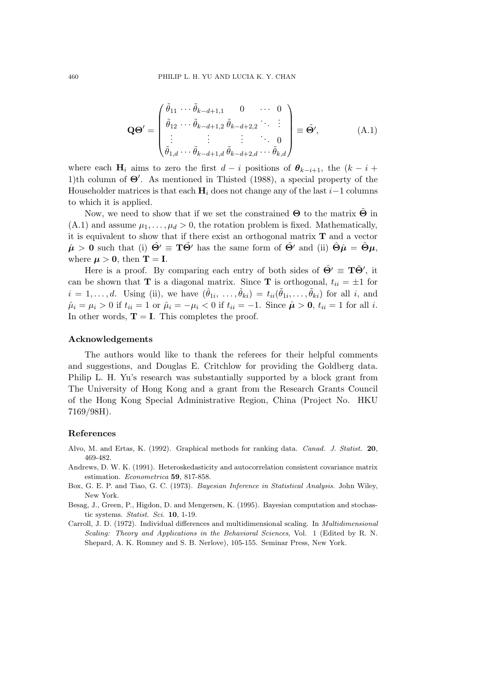$$
\mathbf{Q}\mathbf{\Theta}' = \begin{pmatrix} \tilde{\theta}_{11} & \cdots & \tilde{\theta}_{k-d+1,1} & 0 & \cdots & 0 \\ \tilde{\theta}_{12} & \cdots & \tilde{\theta}_{k-d+1,2} & \tilde{\theta}_{k-d+2,2} & \cdots & \vdots \\ \vdots & \vdots & \vdots & \ddots & 0 \\ \tilde{\theta}_{1,d} & \cdots & \tilde{\theta}_{k-d+1,d} & \tilde{\theta}_{k-d+2,d} & \cdots & \tilde{\theta}_{k,d} \end{pmatrix} \equiv \tilde{\mathbf{\Theta}}', \tag{A.1}
$$

where each **H**<sub>i</sub> aims to zero the first  $d - i$  positions of  $\theta_{k-i+1}$ , the  $(k - i +$ 1)th column of **Θ** . As mentioned in Thisted (1988), a special property of the Householder matrices is that each  $\mathbf{H}_i$  does not change any of the last i–1 columns to which it is applied.

Now, we need to show that if we set the constrained **Θ** to the matrix **Θ**˜ in  $(A.1)$  and assume  $\mu_1, \ldots, \mu_d > 0$ , the rotation problem is fixed. Mathematically, it is equivalent to show that if there exist an orthogonal matrix **T** and a vector  $\hat{\mu} > 0$  such that (i)  $\hat{\Theta}' \equiv \mathbf{T} \tilde{\Theta}'$  has the same form of  $\tilde{\Theta}'$  and (ii)  $\hat{\Theta} \hat{\mu} = \tilde{\Theta} \mu$ . where  $\mu > 0$ , then **T** = **I**.

Here is a proof. By comparing each entry of both sides of  $\hat{\Theta}' \equiv \mathbf{T}\tilde{\Theta}'$ , it can be shown that **T** is a diagonal matrix. Since **T** is orthogonal,  $t_{ii} = \pm 1$  for  $i = 1, \ldots, d$ . Using (ii), we have  $(\hat{\theta}_{1i}, \ldots, \hat{\theta}_{ki}) = t_{ii}(\hat{\theta}_{1i}, \ldots, \hat{\theta}_{ki})$  for all i, and  $\hat{\mu}_i = \mu_i > 0$  if  $t_{ii} = 1$  or  $\hat{\mu}_i = -\mu_i < 0$  if  $t_{ii} = -1$ . Since  $\hat{\mu} > 0$ ,  $t_{ii} = 1$  for all i. In other words,  $T = I$ . This completes the proof.

## **Acknowledgements**

The authors would like to thank the referees for their helpful comments and suggestions, and Douglas E. Critchlow for providing the Goldberg data. Philip L. H. Yu's research was substantially supported by a block grant from The University of Hong Kong and a grant from the Research Grants Council of the Hong Kong Special Administrative Region, China (Project No. HKU 7169/98H).

#### **References**

- Alvo, M. and Ertas, K. (1992). Graphical methods for ranking data. *Canad. J. Statist.* **20**, 469-482.
- Andrews, D. W. K. (1991). Heteroskedasticity and autocorrelation consistent covariance matrix estimation. *Econometrica* **59**, 817-858.
- Box, G. E. P. and Tiao, G. C. (1973). *Bayesian Inference in Statistical Analysis*. John Wiley, New York.
- Besag, J., Green, P., Higdon, D. and Mengersen, K. (1995). Bayesian computation and stochastic systems. *Statist. Sci.* **10**, 1-19.
- Carroll, J. D. (1972). Individual differences and multidimensional scaling. In *Multidimensional Scaling: Theory and Applications in the Behavioral Sciences*, Vol. 1 (Edited by R. N. Shepard, A. K. Romney and S. B. Nerlove), 105-155. Seminar Press, New York.